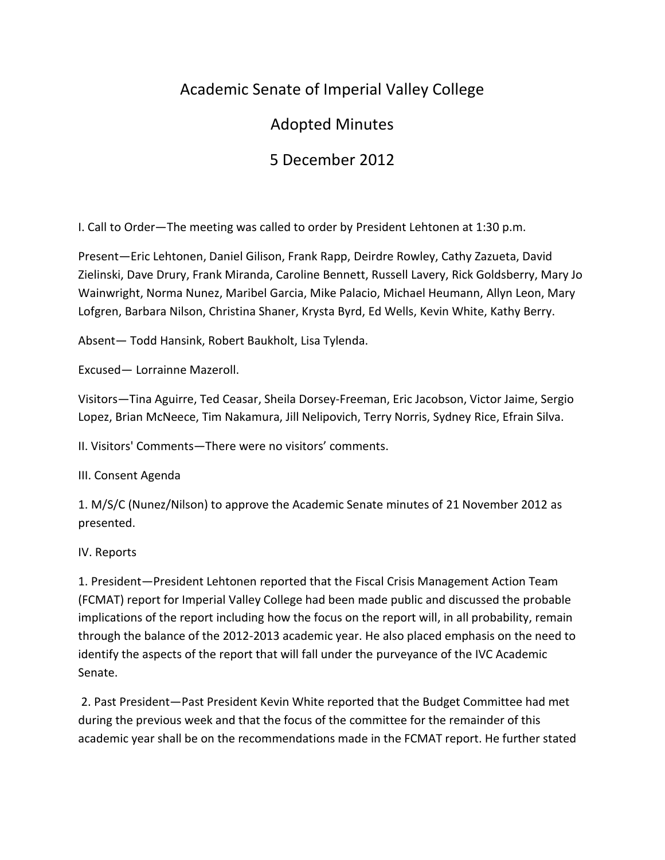## Academic Senate of Imperial Valley College

## Adopted Minutes

# 5 December 2012

I. Call to Order—The meeting was called to order by President Lehtonen at 1:30 p.m.

Present—Eric Lehtonen, Daniel Gilison, Frank Rapp, Deirdre Rowley, Cathy Zazueta, David Zielinski, Dave Drury, Frank Miranda, Caroline Bennett, Russell Lavery, Rick Goldsberry, Mary Jo Wainwright, Norma Nunez, Maribel Garcia, Mike Palacio, Michael Heumann, Allyn Leon, Mary Lofgren, Barbara Nilson, Christina Shaner, Krysta Byrd, Ed Wells, Kevin White, Kathy Berry.

Absent— Todd Hansink, Robert Baukholt, Lisa Tylenda.

Excused— Lorrainne Mazeroll.

Visitors—Tina Aguirre, Ted Ceasar, Sheila Dorsey-Freeman, Eric Jacobson, Victor Jaime, Sergio Lopez, Brian McNeece, Tim Nakamura, Jill Nelipovich, Terry Norris, Sydney Rice, Efrain Silva.

II. Visitors' Comments—There were no visitors' comments.

III. Consent Agenda

1. M/S/C (Nunez/Nilson) to approve the Academic Senate minutes of 21 November 2012 as presented.

IV. Reports

1. President—President Lehtonen reported that the Fiscal Crisis Management Action Team (FCMAT) report for Imperial Valley College had been made public and discussed the probable implications of the report including how the focus on the report will, in all probability, remain through the balance of the 2012-2013 academic year. He also placed emphasis on the need to identify the aspects of the report that will fall under the purveyance of the IVC Academic Senate.

2. Past President—Past President Kevin White reported that the Budget Committee had met during the previous week and that the focus of the committee for the remainder of this academic year shall be on the recommendations made in the FCMAT report. He further stated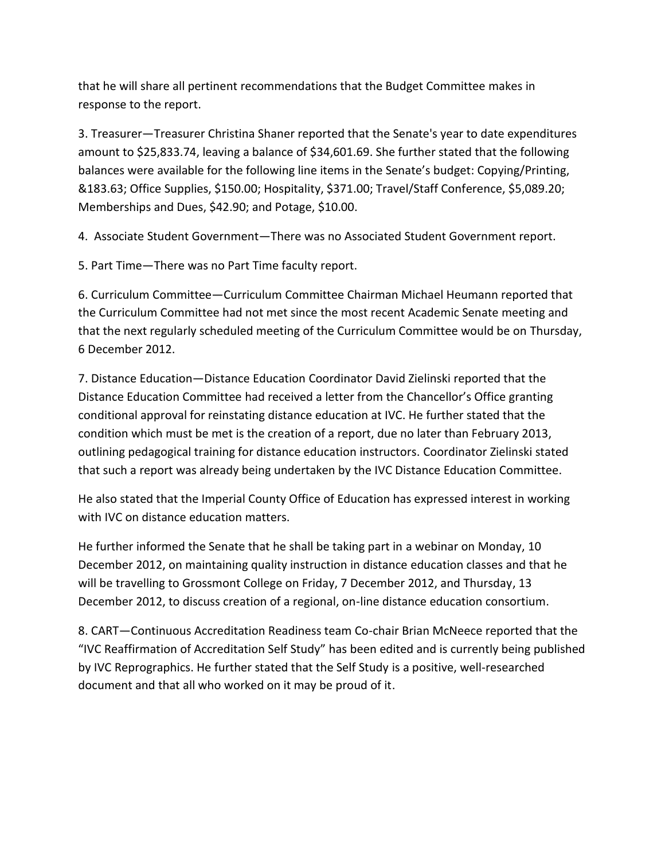that he will share all pertinent recommendations that the Budget Committee makes in response to the report.

3. Treasurer—Treasurer Christina Shaner reported that the Senate's year to date expenditures amount to \$25,833.74, leaving a balance of \$34,601.69. She further stated that the following balances were available for the following line items in the Senate's budget: Copying/Printing, &183.63; Office Supplies, \$150.00; Hospitality, \$371.00; Travel/Staff Conference, \$5,089.20; Memberships and Dues, \$42.90; and Potage, \$10.00.

4. Associate Student Government—There was no Associated Student Government report.

5. Part Time—There was no Part Time faculty report.

6. Curriculum Committee—Curriculum Committee Chairman Michael Heumann reported that the Curriculum Committee had not met since the most recent Academic Senate meeting and that the next regularly scheduled meeting of the Curriculum Committee would be on Thursday, 6 December 2012.

7. Distance Education—Distance Education Coordinator David Zielinski reported that the Distance Education Committee had received a letter from the Chancellor's Office granting conditional approval for reinstating distance education at IVC. He further stated that the condition which must be met is the creation of a report, due no later than February 2013, outlining pedagogical training for distance education instructors. Coordinator Zielinski stated that such a report was already being undertaken by the IVC Distance Education Committee.

He also stated that the Imperial County Office of Education has expressed interest in working with IVC on distance education matters.

He further informed the Senate that he shall be taking part in a webinar on Monday, 10 December 2012, on maintaining quality instruction in distance education classes and that he will be travelling to Grossmont College on Friday, 7 December 2012, and Thursday, 13 December 2012, to discuss creation of a regional, on-line distance education consortium.

8. CART—Continuous Accreditation Readiness team Co-chair Brian McNeece reported that the "IVC Reaffirmation of Accreditation Self Study" has been edited and is currently being published by IVC Reprographics. He further stated that the Self Study is a positive, well-researched document and that all who worked on it may be proud of it.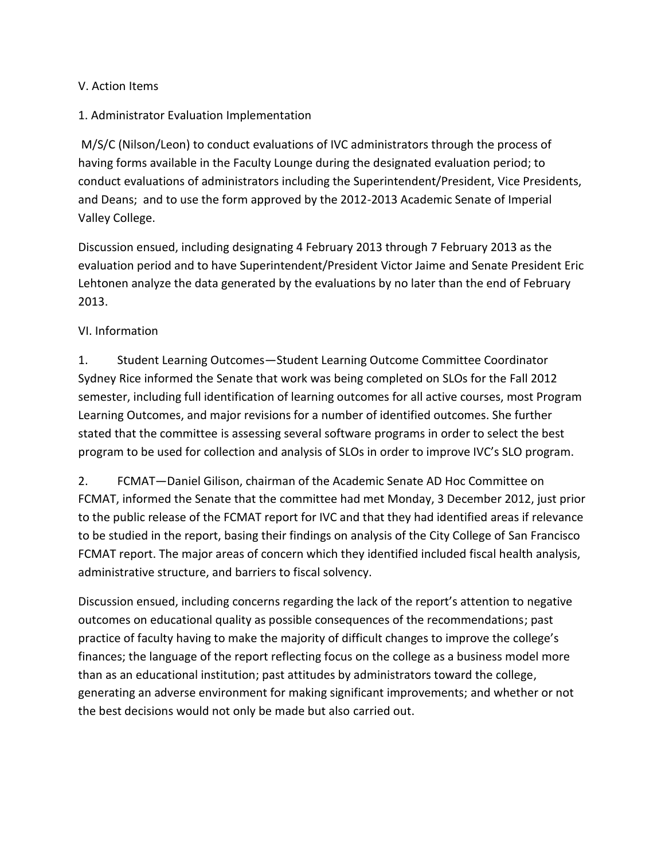#### V. Action Items

#### 1. Administrator Evaluation Implementation

M/S/C (Nilson/Leon) to conduct evaluations of IVC administrators through the process of having forms available in the Faculty Lounge during the designated evaluation period; to conduct evaluations of administrators including the Superintendent/President, Vice Presidents, and Deans; and to use the form approved by the 2012-2013 Academic Senate of Imperial Valley College.

Discussion ensued, including designating 4 February 2013 through 7 February 2013 as the evaluation period and to have Superintendent/President Victor Jaime and Senate President Eric Lehtonen analyze the data generated by the evaluations by no later than the end of February 2013.

#### VI. Information

1. Student Learning Outcomes—Student Learning Outcome Committee Coordinator Sydney Rice informed the Senate that work was being completed on SLOs for the Fall 2012 semester, including full identification of learning outcomes for all active courses, most Program Learning Outcomes, and major revisions for a number of identified outcomes. She further stated that the committee is assessing several software programs in order to select the best program to be used for collection and analysis of SLOs in order to improve IVC's SLO program.

2. FCMAT—Daniel Gilison, chairman of the Academic Senate AD Hoc Committee on FCMAT, informed the Senate that the committee had met Monday, 3 December 2012, just prior to the public release of the FCMAT report for IVC and that they had identified areas if relevance to be studied in the report, basing their findings on analysis of the City College of San Francisco FCMAT report. The major areas of concern which they identified included fiscal health analysis, administrative structure, and barriers to fiscal solvency.

Discussion ensued, including concerns regarding the lack of the report's attention to negative outcomes on educational quality as possible consequences of the recommendations; past practice of faculty having to make the majority of difficult changes to improve the college's finances; the language of the report reflecting focus on the college as a business model more than as an educational institution; past attitudes by administrators toward the college, generating an adverse environment for making significant improvements; and whether or not the best decisions would not only be made but also carried out.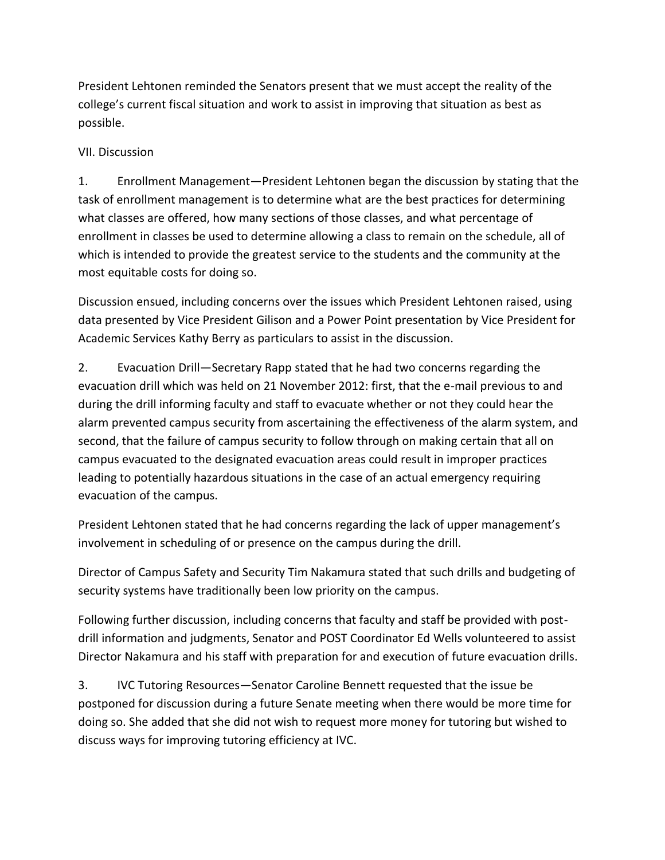President Lehtonen reminded the Senators present that we must accept the reality of the college's current fiscal situation and work to assist in improving that situation as best as possible.

### VII. Discussion

1. Enrollment Management—President Lehtonen began the discussion by stating that the task of enrollment management is to determine what are the best practices for determining what classes are offered, how many sections of those classes, and what percentage of enrollment in classes be used to determine allowing a class to remain on the schedule, all of which is intended to provide the greatest service to the students and the community at the most equitable costs for doing so.

Discussion ensued, including concerns over the issues which President Lehtonen raised, using data presented by Vice President Gilison and a Power Point presentation by Vice President for Academic Services Kathy Berry as particulars to assist in the discussion.

2. Evacuation Drill—Secretary Rapp stated that he had two concerns regarding the evacuation drill which was held on 21 November 2012: first, that the e-mail previous to and during the drill informing faculty and staff to evacuate whether or not they could hear the alarm prevented campus security from ascertaining the effectiveness of the alarm system, and second, that the failure of campus security to follow through on making certain that all on campus evacuated to the designated evacuation areas could result in improper practices leading to potentially hazardous situations in the case of an actual emergency requiring evacuation of the campus.

President Lehtonen stated that he had concerns regarding the lack of upper management's involvement in scheduling of or presence on the campus during the drill.

Director of Campus Safety and Security Tim Nakamura stated that such drills and budgeting of security systems have traditionally been low priority on the campus.

Following further discussion, including concerns that faculty and staff be provided with postdrill information and judgments, Senator and POST Coordinator Ed Wells volunteered to assist Director Nakamura and his staff with preparation for and execution of future evacuation drills.

3. IVC Tutoring Resources—Senator Caroline Bennett requested that the issue be postponed for discussion during a future Senate meeting when there would be more time for doing so. She added that she did not wish to request more money for tutoring but wished to discuss ways for improving tutoring efficiency at IVC.